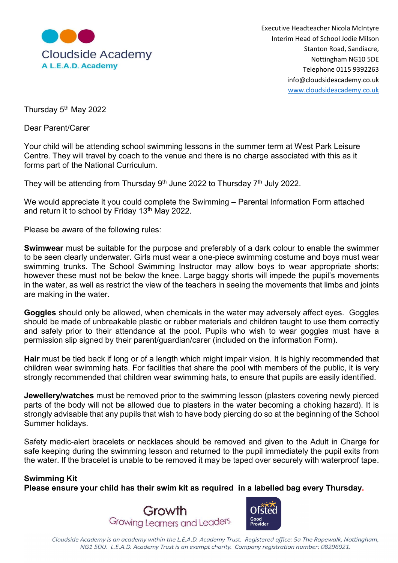

Executive Headteacher Nicola McIntyre Interim Head of School Jodie Milson Nottingham NG10 5DE Telephone 0115 9392263 info@cloudsideacademy.co.uk www.cloudsideacademy.co.uk

Thursday 5th May 2022

Dear Parent/Carer

Your child will be attending school swimming lessons in the summer term at West Park Leisure Centre. They will travel by coach to the venue and there is no charge associated with this as it forms part of the National Curriculum.

They will be attending from Thursday  $9<sup>th</sup>$  June 2022 to Thursday  $7<sup>th</sup>$  July 2022.

We would appreciate it you could complete the Swimming – Parental Information Form attached and return it to school by Friday 13th May 2022.

Please be aware of the following rules:

Swimwear must be suitable for the purpose and preferably of a dark colour to enable the swimmer to be seen clearly underwater. Girls must wear a one-piece swimming costume and boys must wear swimming trunks. The School Swimming Instructor may allow boys to wear appropriate shorts; however these must not be below the knee. Large baggy shorts will impede the pupil's movements in the water, as well as restrict the view of the teachers in seeing the movements that limbs and joints are making in the water.

Goggles should only be allowed, when chemicals in the water may adversely affect eyes. Goggles should be made of unbreakable plastic or rubber materials and children taught to use them correctly and safely prior to their attendance at the pool. Pupils who wish to wear goggles must have a permission slip signed by their parent/guardian/carer (included on the information Form).

Hair must be tied back if long or of a length which might impair vision. It is highly recommended that children wear swimming hats. For facilities that share the pool with members of the public, it is very strongly recommended that children wear swimming hats, to ensure that pupils are easily identified.

Jewellery/watches must be removed prior to the swimming lesson (plasters covering newly pierced parts of the body will not be allowed due to plasters in the water becoming a choking hazard). It is strongly advisable that any pupils that wish to have body piercing do so at the beginning of the School Summer holidays.

Safety medic-alert bracelets or necklaces should be removed and given to the Adult in Charge for safe keeping during the swimming lesson and returned to the pupil immediately the pupil exits from the water. If the bracelet is unable to be removed it may be taped over securely with waterproof tape.

## Swimming Kit

Please ensure your child has their swim kit as required in a labelled bag every Thursday.





Cloudside Academy is an academy within the L.E.A.D. Academy Trust. Registered office: 5a The Ropewalk, Nottingham, NG1 5DU. L.E.A.D. Academy Trust is an exempt charity. Company registration number: 08296921.